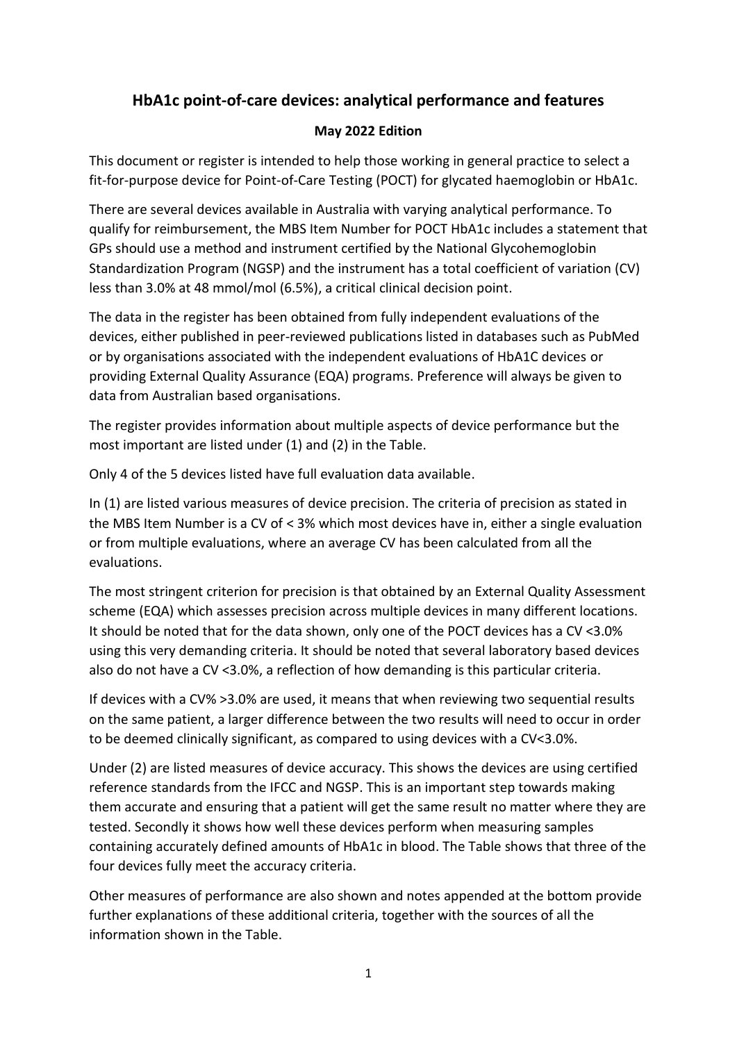## **HbA1c point-of-care devices: analytical performance and features**

## **May 2022 Edition**

This document or register is intended to help those working in general practice to select a fit-for-purpose device for Point-of-Care Testing (POCT) for glycated haemoglobin or HbA1c.

There are several devices available in Australia with varying analytical performance. To qualify for reimbursement, the MBS Item Number for POCT HbA1c includes a statement that GPs should use a method and instrument certified by the National Glycohemoglobin Standardization Program (NGSP) and the instrument has a total coefficient of variation (CV) less than 3.0% at 48 mmol/mol (6.5%), a critical clinical decision point.

The data in the register has been obtained from fully independent evaluations of the devices, either published in peer-reviewed publications listed in databases such as PubMed or by organisations associated with the independent evaluations of HbA1C devices or providing External Quality Assurance (EQA) programs. Preference will always be given to data from Australian based organisations.

The register provides information about multiple aspects of device performance but the most important are listed under (1) and (2) in the Table.

Only 4 of the 5 devices listed have full evaluation data available.

In (1) are listed various measures of device precision. The criteria of precision as stated in the MBS Item Number is a CV of < 3% which most devices have in, either a single evaluation or from multiple evaluations, where an average CV has been calculated from all the evaluations.

The most stringent criterion for precision is that obtained by an External Quality Assessment scheme (EQA) which assesses precision across multiple devices in many different locations. It should be noted that for the data shown, only one of the POCT devices has a CV <3.0% using this very demanding criteria. It should be noted that several laboratory based devices also do not have a CV <3.0%, a reflection of how demanding is this particular criteria.

If devices with a CV% >3.0% are used, it means that when reviewing two sequential results on the same patient, a larger difference between the two results will need to occur in order to be deemed clinically significant, as compared to using devices with a CV<3.0%.

Under (2) are listed measures of device accuracy. This shows the devices are using certified reference standards from the IFCC and NGSP. This is an important step towards making them accurate and ensuring that a patient will get the same result no matter where they are tested. Secondly it shows how well these devices perform when measuring samples containing accurately defined amounts of HbA1c in blood. The Table shows that three of the four devices fully meet the accuracy criteria.

Other measures of performance are also shown and notes appended at the bottom provide further explanations of these additional criteria, together with the sources of all the information shown in the Table.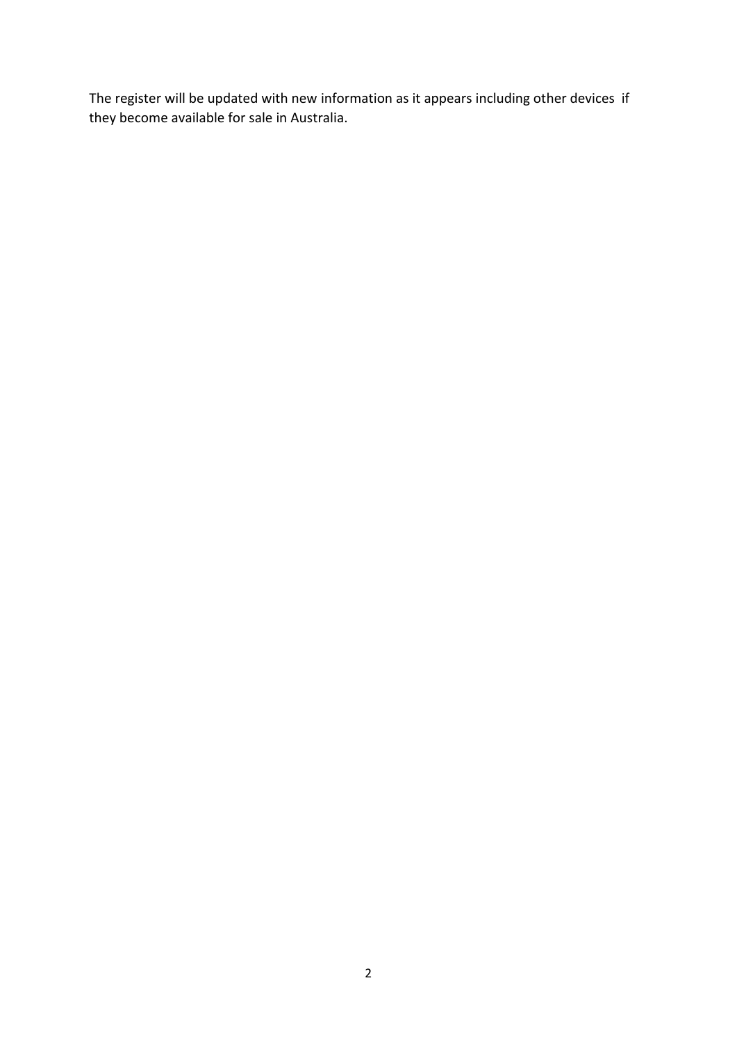The register will be updated with new information as it appears including other devices if they become available for sale in Australia.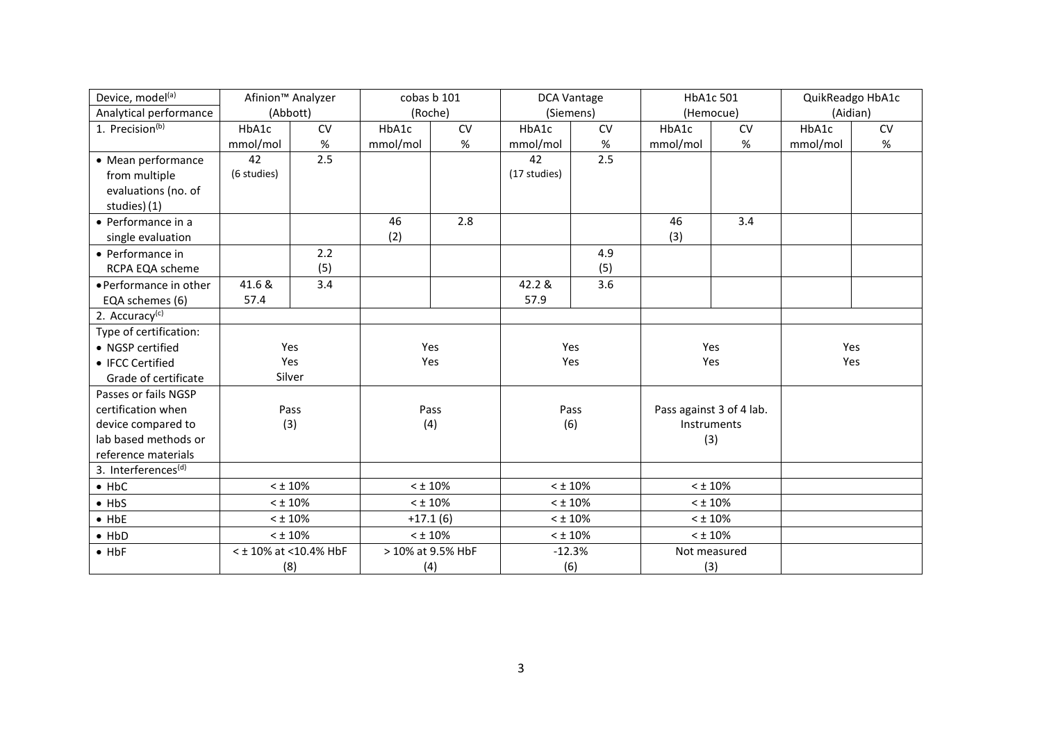| Device, model <sup>(a)</sup>    | Afinion <sup>™</sup> Analyzer |      | cobas b 101       |      | <b>DCA Vantage</b> |           | HbA1c 501                |     | QuikReadgo HbA1c |      |
|---------------------------------|-------------------------------|------|-------------------|------|--------------------|-----------|--------------------------|-----|------------------|------|
| Analytical performance          | (Abbott)                      |      | (Roche)           |      | (Siemens)          |           | (Hemocue)                |     | (Aidian)         |      |
| 1. Precision <sup>(b)</sup>     | HbA1c                         | CV   | HbA1c             | CV   | HbA1c              | <b>CV</b> | HbA1c                    | CV  | HbA1c            | CV   |
|                                 | mmol/mol                      | $\%$ | mmol/mol          | $\%$ | mmol/mol           | %         | mmol/mol                 | %   | mmol/mol         | $\%$ |
| • Mean performance              | 42                            | 2.5  |                   |      | 42                 | 2.5       |                          |     |                  |      |
| from multiple                   | (6 studies)                   |      |                   |      | (17 studies)       |           |                          |     |                  |      |
| evaluations (no. of             |                               |      |                   |      |                    |           |                          |     |                  |      |
| studies) (1)                    |                               |      |                   |      |                    |           |                          |     |                  |      |
| • Performance in a              |                               |      | 46                | 2.8  |                    |           | 46                       | 3.4 |                  |      |
| single evaluation               |                               |      | (2)               |      |                    |           | (3)                      |     |                  |      |
| • Performance in                |                               | 2.2  |                   |      |                    | 4.9       |                          |     |                  |      |
| RCPA EQA scheme                 |                               | (5)  |                   |      |                    | (5)       |                          |     |                  |      |
| • Performance in other          | 41.6 &                        | 3.4  |                   |      | 42.2 &             | 3.6       |                          |     |                  |      |
| EQA schemes (6)                 | 57.4                          |      |                   |      | 57.9               |           |                          |     |                  |      |
| 2. Accuracy <sup>(c)</sup>      |                               |      |                   |      |                    |           |                          |     |                  |      |
| Type of certification:          |                               |      |                   |      |                    |           |                          |     |                  |      |
| • NGSP certified                | Yes                           |      | Yes               |      | Yes                |           | Yes                      |     | Yes              |      |
| • IFCC Certified                | Yes                           |      | Yes               |      | Yes                |           | Yes                      |     | Yes              |      |
| Grade of certificate            | Silver                        |      |                   |      |                    |           |                          |     |                  |      |
| Passes or fails NGSP            |                               |      |                   |      |                    |           |                          |     |                  |      |
| certification when              | Pass                          |      | Pass              |      | Pass               |           | Pass against 3 of 4 lab. |     |                  |      |
| device compared to              | (3)                           |      | (4)               |      | (6)                |           | Instruments              |     |                  |      |
| lab based methods or            |                               |      |                   |      |                    |           | (3)                      |     |                  |      |
| reference materials             |                               |      |                   |      |                    |           |                          |     |                  |      |
| 3. Interferences <sup>(d)</sup> |                               |      |                   |      |                    |           |                          |     |                  |      |
| $-$ HbC                         | $<$ ± 10%                     |      | $< 10\%$          |      | $<$ $\pm$ 10%      |           | $<$ ± 10%                |     |                  |      |
| $\bullet$ HbS                   | $<$ $\pm$ 10%                 |      | $< \pm 10\%$      |      | $<$ $\pm$ 10%      |           | $<$ ± 10%                |     |                  |      |
| $-$ HbE                         | $<$ ± 10%                     |      | $+17.1(6)$        |      | $<$ ± 10%          |           | $<$ ± 10%                |     |                  |      |
| $\bullet$ HbD                   | $<$ ± 10%                     |      | $<$ ± 10%         |      | $<$ $\pm$ 10%      |           | $< \pm 10\%$             |     |                  |      |
| $\bullet$ HbF                   | < ± 10% at < 10.4% HbF        |      | > 10% at 9.5% HbF |      | $-12.3%$           |           | Not measured             |     |                  |      |
|                                 | (8)                           |      | (4)               |      | (6)                |           | (3)                      |     |                  |      |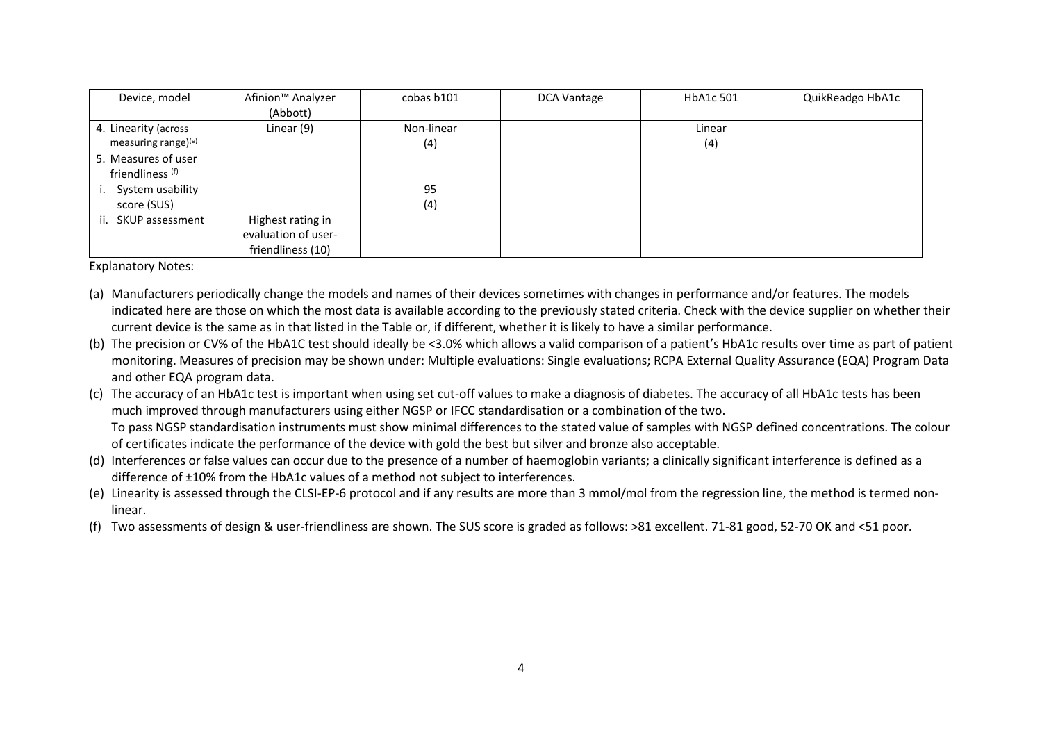| Device, model                                                                                              | Afinion <sup>™</sup> Analyzer<br>(Abbott)                     | cobas b101        | DCA Vantage | HbA1c 501     | QuikReadgo HbA1c |
|------------------------------------------------------------------------------------------------------------|---------------------------------------------------------------|-------------------|-------------|---------------|------------------|
| 4. Linearity (across<br>measuring range)(e)                                                                | Linear (9)                                                    | Non-linear<br>(4) |             | Linear<br>(4) |                  |
| 5. Measures of user<br>friendliness (f)<br>System usability<br>ι.<br>score (SUS)<br>ii.<br>SKUP assessment | Highest rating in<br>evaluation of user-<br>friendliness (10) | 95<br>(4)         |             |               |                  |

Explanatory Notes:

- (a) Manufacturers periodically change the models and names of their devices sometimes with changes in performance and/or features. The models indicated here are those on which the most data is available according to the previously stated criteria. Check with the device supplier on whether their current device is the same as in that listed in the Table or, if different, whether it is likely to have a similar performance.
- (b) The precision or CV% of the HbA1C test should ideally be <3.0% which allows a valid comparison of a patient's HbA1c results over time as part of patient monitoring. Measures of precision may be shown under: Multiple evaluations: Single evaluations; RCPA External Quality Assurance (EQA) Program Data and other EQA program data.
- (c) The accuracy of an HbA1c test is important when using set cut-off values to make a diagnosis of diabetes. The accuracy of all HbA1c tests has been much improved through manufacturers using either NGSP or IFCC standardisation or a combination of the two. To pass NGSP standardisation instruments must show minimal differences to the stated value of samples with NGSP defined concentrations. The colour of certificates indicate the performance of the device with gold the best but silver and bronze also acceptable.
- (d) Interferences or false values can occur due to the presence of a number of haemoglobin variants; a clinically significant interference is defined as a difference of ±10% from the HbA1c values of a method not subject to interferences.
- (e) Linearity is assessed through the CLSI-EP-6 protocol and if any results are more than 3 mmol/mol from the regression line, the method is termed nonlinear.
- (f) Two assessments of design & user-friendliness are shown. The SUS score is graded as follows: >81 excellent. 71-81 good, 52-70 OK and <51 poor.